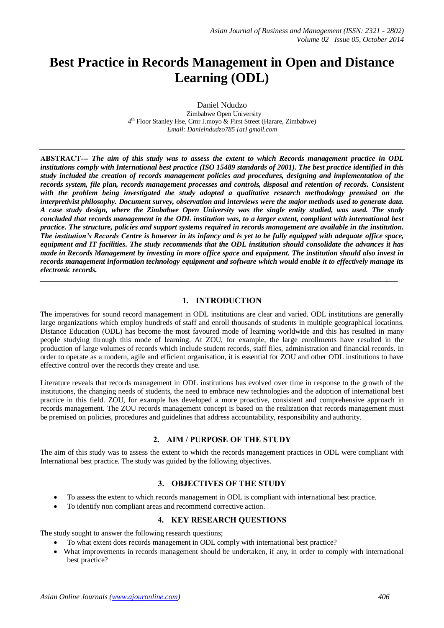# **Best Practice in Records Management in Open and Distance Learning (ODL)**

Daniel Ndudzo Zimbabwe Open University 4 th Floor Stanley Hse, Crnr J.moyo & First Street (Harare, Zimbabwe) *Email: Danielndudzo785 {at} gmail.com*

**ABSTRACT---** *The aim of this study was to assess the extent to which Records management practice in ODL institutions comply with International best practice (ISO 15489 standards of 2001). The best practice identified in this study included the creation of records management policies and procedures, designing and implementation of the records system, file plan, records management processes and controls, disposal and retention of records. Consistent with the problem being investigated the study adopted a qualitative research methodology premised on the interpretivist philosophy. Document survey, observation and interviews were the major methods used to generate data. A case study design, where the Zimbabwe Open University was the single entity studied, was used. The study concluded that records management in the ODL institution was, to a larger extent, compliant with international best practice. The structure, policies and support systems required in records management are available in the institution. The institution's Records Centre is however in its infancy and is yet to be fully equipped with adequate office space, equipment and IT facilities. The study recommends that the ODL institution should consolidate the advances it has made in Records Management by investing in more office space and equipment. The institution should also invest in records management information technology equipment and software which would enable it to effectively manage its electronic records.* 

# **1. INTRODUCTION**

*\_\_\_\_\_\_\_\_\_\_\_\_\_\_\_\_\_\_\_\_\_\_\_\_\_\_\_\_\_\_\_\_\_\_\_\_\_\_\_\_\_\_\_\_\_\_\_\_\_\_\_\_\_\_\_\_\_\_\_\_\_\_\_\_\_\_\_\_\_\_\_\_\_\_\_\_\_\_\_\_\_\_\_\_\_\_\_\_\_\_\_\_\_\_\_\_*

The imperatives for sound record management in ODL institutions are clear and varied. ODL institutions are generally large organizations which employ hundreds of staff and enroll thousands of students in multiple geographical locations. Distance Education (ODL) has become the most favoured mode of learning worldwide and this has resulted in many people studying through this mode of learning. At ZOU, for example, the large enrollments have resulted in the production of large volumes of records which include student records, staff files, administration and financial records. In order to operate as a modern, agile and efficient organisation, it is essential for ZOU and other ODL institutions to have effective control over the records they create and use.

Literature reveals that records management in ODL institutions has evolved over time in response to the growth of the institutions, the changing needs of students, the need to embrace new technologies and the adoption of international best practice in this field. ZOU, for example has developed a more proactive, consistent and comprehensive approach in records management. The ZOU records management concept is based on the realization that records management must be premised on policies, procedures and guidelines that address accountability, responsibility and authority.

# **2. AIM / PURPOSE OF THE STUDY**

The aim of this study was to assess the extent to which the records management practices in ODL were compliant with International best practice. The study was guided by the following objectives.

# **3. OBJECTIVES OF THE STUDY**

- To assess the extent to which records management in ODL is compliant with international best practice.
- To identify non compliant areas and recommend corrective action.

# **4. KEY RESEARCH QUESTIONS**

The study sought to answer the following research questions;

- To what extent does records management in ODL comply with international best practice?
- What improvements in records management should be undertaken, if any, in order to comply with international best practice?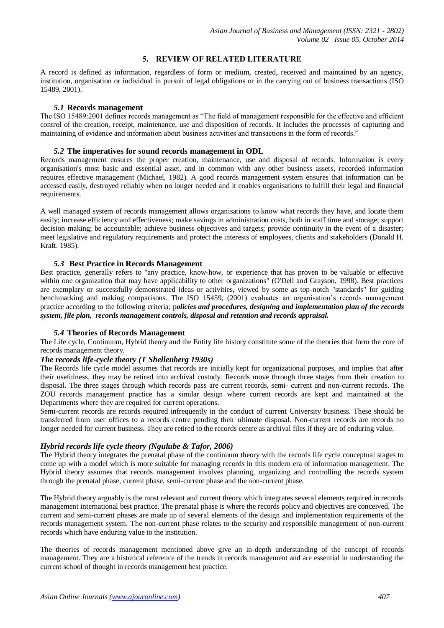# **5. REVIEW OF RELATED LITERATURE**

A record is defined as information, regardless of form or medium, created, received and maintained by an agency, institution, organisation or individual in pursuit of legal obligations or in the carrying out of business transactions (ISO 15489, 2001).

## *5.1* **Records management**

The ISO 15489:2001 defines records management as "The field of management responsible for the effective and efficient control of the creation, receipt, maintenance, use and disposition of records. It includes the processes of capturing and maintaining of evidence and information about business activities and transactions in the form of records."

## *5.2* **The imperatives for sound records management in ODL**

Records management ensures the proper creation, maintenance, use and disposal of records. Information is every organisation's most basic and essential asset, and in common with any other business assets, recorded information requires effective management (Michael, 1982). A good records management system ensures that information can be accessed easily, destroyed reliably when no longer needed and it enables organisations to fulfill their legal and financial requirements.

A well managed system of records management allows organisations to know what records they have, and locate them easily; increase efficiency and effectiveness; make savings in administration costs, both in staff time and storage; support decision making; be accountable; achieve business objectives and targets; provide continuity in the event of a disaster; meet legislative and regulatory requirements and protect the interests of employees, clients and stakeholders (Donald H. Kraft. 1985).

#### *5.3* **Best Practice in Records Management**

Best practice, generally refers to "any practice, know-how, or experience that has proven to be valuable or effective within one organization that may have applicability to other organizations" (O'Dell and Grayson, 1998). Best practices are exemplary or successfully demonstrated ideas or activities, viewed by some as top-notch "standards" for guiding benchmarking and making comparisons. The ISO 15459, (2001) evaluates an organisation's records management practice according to the following criteria; p*olicies and procedures, designing and implementation plan of the records system, file plan, records management controls, disposal and retention and records appraisal.*

# *5.4* **Theories of Records Management**

The Life cycle, Continuum, Hybrid theory and the Entity life history constitute some of the theories that form the core of records management theory.

# *The records life-cycle theory (T Shellenberg 1930s)*

The Records life cycle model assumes that records are initially kept for organizational purposes, and implies that after their usefulness, they may be retired into archival custody. Records move through three stages from their creation to disposal. The three stages through which records pass are current records, semi- current and non-current records. The ZOU records management practice has a similar design where current records are kept and maintained at the Departments where they are required for current operations.

Semi-current records are records required infrequently in the conduct of current University business. These should be transferred from user offices to a records centre pending their ultimate disposal. Non-current records are records no longer needed for current business. They are retired to the records centre as archival files if they are of enduring value.

# *Hybrid records life cycle theory (Ngulube & Tafor, 2006)*

The Hybrid theory integrates the prenatal phase of the continuum theory with the records life cycle conceptual stages to come up with a model which is more suitable for managing records in this modern era of information management. The Hybrid theory assumes that records management involves planning, organizing and controlling the records system through the prenatal phase, current phase, semi-current phase and the non-current phase.

The Hybrid theory arguably is the most relevant and current theory which integrates several elements required in records management international best practice. The prenatal phase is where the records policy and objectives are conceived. The current and semi-current phases are made up of several elements of the design and implementation requirements of the records management system. The non-current phase relates to the security and responsible management of non-current records which have enduring value to the institution.

The theories of records management mentioned above give an in-depth understanding of the concept of records management. They are a historical reference of the trends in records management and are essential in understanding the current school of thought in records management best practice.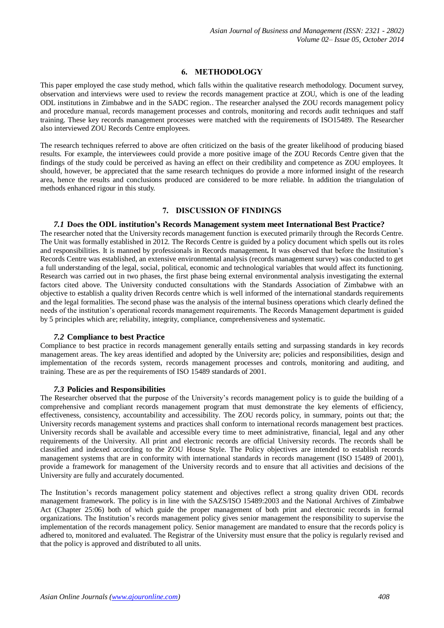# **6. METHODOLOGY**

This paper employed the case study method, which falls within the qualitative research methodology. Document survey, observation and interviews were used to review the records management practice at ZOU, which is one of the leading ODL institutions in Zimbabwe and in the SADC region.. The researcher analysed the ZOU records management policy and procedure manual, records management processes and controls, monitoring and records audit techniques and staff training. These key records management processes were matched with the requirements of ISO15489. The Researcher also interviewed ZOU Records Centre employees.

The research techniques referred to above are often criticized on the basis of the greater likelihood of producing biased results. For example, the interviewees could provide a more positive image of the ZOU Records Centre given that the findings of the study could be perceived as having an effect on their credibility and competence as ZOU employees. It should, however, be appreciated that the same research techniques do provide a more informed insight of the research area, hence the results and conclusions produced are considered to be more reliable. In addition the triangulation of methods enhanced rigour in this study.

# **7. DISCUSSION OF FINDINGS**

#### *7.1* **Does the ODL institution's Records Management system meet International Best Practice?**

The researcher noted that the University records management function is executed primarily through the Records Centre. The Unit was formally established in 2012. The Records Centre is guided by a policy document which spells out its roles and responsibilities. It is manned by professionals in Records management*.* It was observed that before the Institution's Records Centre was established, an extensive environmental analysis (records management survey) was conducted to get a full understanding of the legal, social, political, economic and technological variables that would affect its functioning. Research was carried out in two phases, the first phase being external environmental analysis investigating the external factors cited above. The University conducted consultations with the Standards Association of Zimbabwe with an objective to establish a quality driven Records centre which is well informed of the international standards requirements and the legal formalities. The second phase was the analysis of the internal business operations which clearly defined the needs of the institution's operational records management requirements. The Records Management department is guided by 5 principles which are; reliability, integrity, compliance, comprehensiveness and systematic.

#### *7.2* **Compliance to best Practice**

Compliance to best practice in records management generally entails setting and surpassing standards in key records management areas. The key areas identified and adopted by the University are; policies and responsibilities, design and implementation of the records system, records management processes and controls, monitoring and auditing, and training. These are as per the requirements of ISO 15489 standards of 2001.

#### *7.3* **Policies and Responsibilities**

The Researcher observed that the purpose of the University's records management policy is to guide the building of a comprehensive and compliant records management program that must demonstrate the key elements of efficiency, effectiveness, consistency, accountability and accessibility. The ZOU records policy, in summary, points out that; the University records management systems and practices shall conform to international records management best practices. University records shall be available and accessible every time to meet administrative, financial, legal and any other requirements of the University. All print and electronic records are official University records. The records shall be classified and indexed according to the ZOU House Style. The Policy objectives are intended to establish records management systems that are in conformity with international standards in records management (ISO 15489 of 2001), provide a framework for management of the University records and to ensure that all activities and decisions of the University are fully and accurately documented.

The Institution's records management policy statement and objectives reflect a strong quality driven ODL records management framework. The policy is in line with the SAZS/ISO 15489:2003 and the National Archives of Zimbabwe Act (Chapter 25:06) both of which guide the proper management of both print and electronic records in formal organizations. The Institution's records management policy gives senior management the responsibility to supervise the implementation of the records management policy. Senior management are mandated to ensure that the records policy is adhered to, monitored and evaluated. The Registrar of the University must ensure that the policy is regularly revised and that the policy is approved and distributed to all units.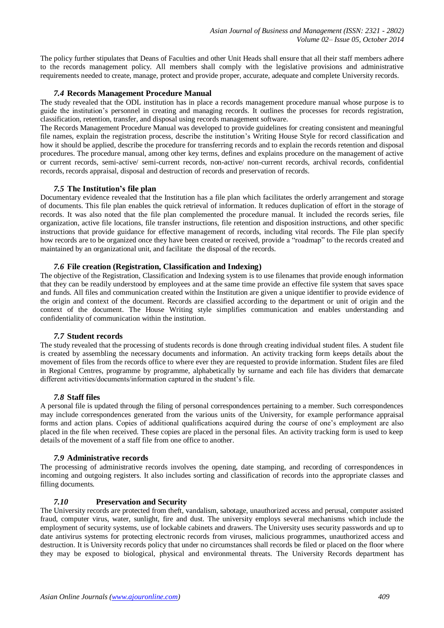The policy further stipulates that Deans of Faculties and other Unit Heads shall ensure that all their staff members adhere to the records management policy. All members shall comply with the legislative provisions and administrative requirements needed to create, manage, protect and provide proper, accurate, adequate and complete University records.

#### *7.4* **Records Management Procedure Manual**

The study revealed that the ODL institution has in place a records management procedure manual whose purpose is to guide the institution's personnel in creating and managing records. It outlines the processes for records registration, classification, retention, transfer, and disposal using records management software.

The Records Management Procedure Manual was developed to provide guidelines for creating consistent and meaningful file names, explain the registration process, describe the institution's Writing House Style for record classification and how it should be applied, describe the procedure for transferring records and to explain the records retention and disposal procedures. The procedure manual, among other key terms, defines and explains procedure on the management of active or current records, semi-active/ semi-current records, non-active/ non-current records, archival records, confidential records, records appraisal, disposal and destruction of records and preservation of records.

#### *7.5* **The Institution's file plan**

Documentary evidence revealed that the Institution has a file plan which facilitates the orderly arrangement and storage of documents. This file plan enables the quick retrieval of information. It reduces duplication of effort in the storage of records. It was also noted that the file plan complemented the procedure manual. It included the records series, file organization, active file locations, file transfer instructions, file retention and disposition instructions, and other specific instructions that provide guidance for effective management of records, including vital records. The File plan specify how records are to be organized once they have been created or received, provide a "roadmap" to the records created and maintained by an organizational unit, and facilitate the disposal of the records.

#### *7.6* **File creation (Registration, Classification and Indexing)**

The objective of the Registration, Classification and Indexing system is to use filenames that provide enough information that they can be readily understood by employees and at the same time provide an effective file system that saves space and funds. All files and communication created within the Institution are given a unique identifier to provide evidence of the origin and context of the document. Records are classified according to the department or unit of origin and the context of the document. The House Writing style simplifies communication and enables understanding and confidentiality of communication within the institution.

#### *7.7* **Student records**

The study revealed that the processing of students records is done through creating individual student files. A student file is created by assembling the necessary documents and information. An activity tracking form keeps details about the movement of files from the records office to where ever they are requested to provide information. Student files are filed in Regional Centres, programme by programme, alphabetically by surname and each file has dividers that demarcate different activities/documents/information captured in the student's file.

# *7.8* **Staff files**

A personal file is updated through the filing of personal correspondences pertaining to a member. Such correspondences may include correspondences generated from the various units of the University, for example performance appraisal forms and action plans. Copies of additional qualifications acquired during the course of one's employment are also placed in the file when received. These copies are placed in the personal files. An activity tracking form is used to keep details of the movement of a staff file from one office to another.

#### *7.9* **Administrative records**

The processing of administrative records involves the opening, date stamping, and recording of correspondences in incoming and outgoing registers. It also includes sorting and classification of records into the appropriate classes and filling documents.

# *7.10* **Preservation and Security**

The University records are protected from theft, vandalism, sabotage, unauthorized access and perusal, computer assisted fraud, computer virus, water, sunlight, fire and dust. The university employs several mechanisms which include the employment of security systems, use of lockable cabinets and drawers. The University uses security passwords and up to date antivirus systems for protecting electronic records from viruses, malicious programmes, unauthorized access and destruction. It is University records policy that under no circumstances shall records be filed or placed on the floor where they may be exposed to biological, physical and environmental threats. The University Records department has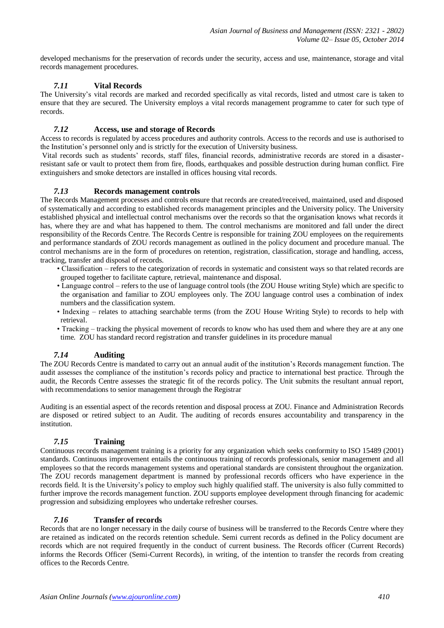developed mechanisms for the preservation of records under the security, access and use, maintenance, storage and vital records management procedures.

# *7.11* **Vital Records**

The University's vital records are marked and recorded specifically as vital records, listed and utmost care is taken to ensure that they are secured. The University employs a vital records management programme to cater for such type of records.

# *7.12* **Access, use and storage of Records**

Access to records is regulated by access procedures and authority controls. Access to the records and use is authorised to the Institution's personnel only and is strictly for the execution of University business.

[Vital records](http://en.wikipedia.org/wiki/Vital_record) such as students' records, staff files, financial records, administrative records are stored in a disasterresistant safe or vault to protect them from fire, floods, earthquakes and possible destruction during human conflict. Fire extinguishers and smoke detectors are installed in offices housing vital records.

# *7.13* **Records management controls**

The Records Management processes and controls ensure that records are created/received, maintained, used and disposed of systematically and according to established records management principles and the University policy. The University established physical and intellectual control mechanisms over the records so that the organisation knows what records it has, where they are and what has happened to them. The control mechanisms are monitored and fall under the direct responsibility of the Records Centre. The Records Centre is responsible for training ZOU employees on the requirements and performance standards of ZOU records management as outlined in the policy document and procedure manual. The control mechanisms are in the form of procedures on retention, registration, classification, storage and handling, access, tracking, transfer and disposal of records.

- Classification refers to the categorization of records in systematic and consistent ways so that related records are grouped together to facilitate capture, retrieval, maintenance and disposal.
- Language control refers to the use of language control tools (the ZOU House writing Style) which are specific to the organisation and familiar to ZOU employees only. The ZOU language control uses a combination of index numbers and the classification system.
- Indexing relates to attaching searchable terms (from the ZOU House Writing Style) to records to help with retrieval.
- Tracking tracking the physical movement of records to know who has used them and where they are at any one time. ZOU has standard record registration and transfer guidelines in its procedure manual

# *7.14* **Auditing**

The ZOU Records Centre is mandated to carry out an annual audit of the institution's Records management function. The audit assesses the compliance of the institution's records policy and practice to international best practice. Through the audit, the Records Centre assesses the strategic fit of the records policy. The Unit submits the resultant annual report, with recommendations to senior management through the Registrar

Auditing is an essential aspect of the records retention and disposal process at ZOU. Finance and Administration Records are disposed or retired subject to an Audit. The auditing of records ensures accountability and transparency in the institution.

# *7.15* **Training**

Continuous records management training is a priority for any organization which seeks conformity to ISO 15489 (2001) standards. Continuous improvement entails the continuous training of records professionals, senior management and all employees so that the records management systems and operational standards are consistent throughout the organization. The ZOU records management department is manned by professional records officers who have experience in the records field. It is the University's policy to employ such highly qualified staff. The university is also fully committed to further improve the records management function. ZOU supports employee development through financing for academic progression and subsidizing employees who undertake refresher courses.

# *7.16* **Transfer of records**

Records that are no longer necessary in the daily course of business will be transferred to the Records Centre where they are retained as indicated on the records retention schedule. Semi current records as defined in the Policy document are records which are not required frequently in the conduct of current business. The Records officer (Current Records) informs the Records Officer (Semi-Current Records), in writing, of the intention to transfer the records from creating offices to the Records Centre.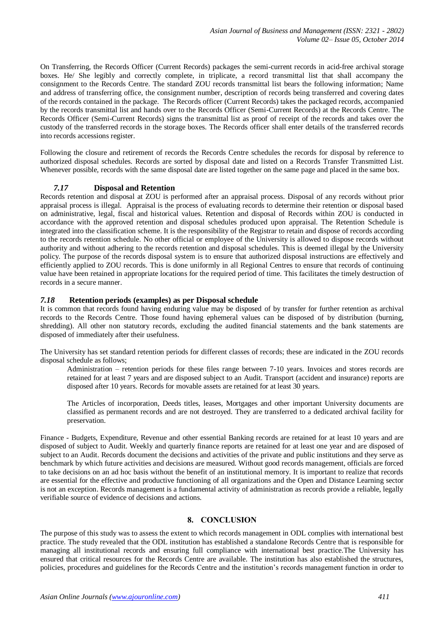On Transferring, the Records Officer (Current Records) packages the semi-current records in acid-free archival storage boxes. He/ She legibly and correctly complete, in triplicate, a record transmittal list that shall accompany the consignment to the Records Centre. The standard ZOU records transmittal list bears the following information; Name and address of transferring office, the consignment number, description of records being transferred and covering dates of the records contained in the package. The Records officer (Current Records) takes the packaged records, accompanied by the records transmittal list and hands over to the Records Officer (Semi-Current Records) at the Records Centre. The Records Officer (Semi-Current Records) signs the transmittal list as proof of receipt of the records and takes over the custody of the transferred records in the storage boxes. The Records officer shall enter details of the transferred records into records accessions register.

Following the closure and retirement of records the Records Centre schedules the records for disposal by reference to authorized disposal schedules. Records are sorted by disposal date and listed on a Records Transfer Transmitted List. Whenever possible, records with the same disposal date are listed together on the same page and placed in the same box.

# *7.17* **Disposal and Retention**

Records retention and disposal at ZOU is performed after an appraisal process. Disposal of any records without prior appraisal process is illegal. Appraisal is the process of evaluating records to determine their retention or disposal based on administrative, legal, fiscal and historical values. Retention and disposal of Records within ZOU is conducted in accordance with the approved retention and disposal schedules produced upon appraisal. The Retention Schedule is integrated into the classification scheme. It is the responsibility of the Registrar to retain and dispose of records according to the records retention schedule. No other official or employee of the University is allowed to dispose records without authority and without adhering to the records retention and disposal schedules. This is deemed illegal by the University policy. The purpose of the records disposal system is to ensure that authorized disposal instructions are effectively and efficiently applied to ZOU records. This is done uniformly in all Regional Centres to ensure that records of continuing value have been retained in appropriate locations for the required period of time. This facilitates the timely destruction of records in a secure manner.

# *7.18* **Retention periods (examples) as per Disposal schedule**

It is common that records found having enduring value may be disposed of by transfer for further retention as archival records to the Records Centre. Those found having ephemeral values can be disposed of by distribution (burning, shredding). All other non statutory records, excluding the audited financial statements and the bank statements are disposed of immediately after their usefulness.

The University has set standard retention periods for different classes of records; these are indicated in the ZOU records disposal schedule as follows;

Administration – retention periods for these files range between 7-10 years. Invoices and stores records are retained for at least 7 years and are disposed subject to an Audit. Transport (accident and insurance) reports are disposed after 10 years. Records for movable assets are retained for at least 30 years.

The Articles of incorporation, Deeds titles, leases, Mortgages and other important University documents are classified as permanent records and are not destroyed. They are transferred to a dedicated archival facility for preservation.

Finance - Budgets, Expenditure, Revenue and other essential Banking records are retained for at least 10 years and are disposed of subject to Audit. Weekly and quarterly finance reports are retained for at least one year and are disposed of subject to an Audit. Records document the decisions and activities of the private and public institutions and they serve as benchmark by which future activities and decisions are measured. Without good records management, officials are forced to take decisions on an ad hoc basis without the benefit of an institutional memory. It is important to realize that records are essential for the effective and productive functioning of all organizations and the Open and Distance Learning sector is not an exception. Records management is a fundamental activity of administration as records provide a reliable, legally verifiable source of evidence of decisions and actions.

# **8. CONCLUSION**

The purpose of this study was to assess the extent to which records management in ODL complies with international best practice. The study revealed that the ODL institution has established a standalone Records Centre that is responsible for managing all institutional records and ensuring full compliance with international best practice.The University has ensured that critical resources for the Records Centre are available. The institution has also established the structures, policies, procedures and guidelines for the Records Centre and the institution's records management function in order to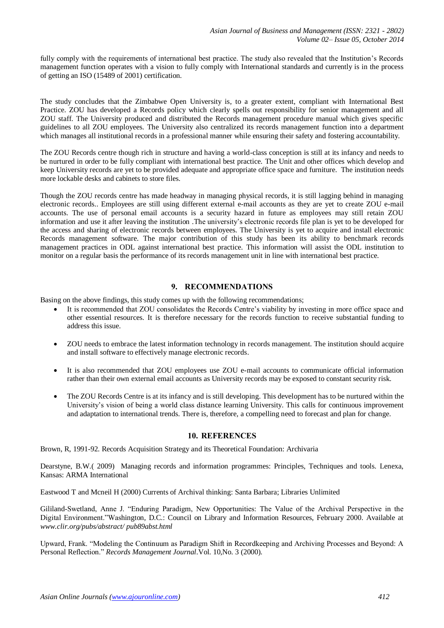fully comply with the requirements of international best practice. The study also revealed that the Institution's Records management function operates with a vision to fully comply with International standards and currently is in the process of getting an ISO (15489 of 2001) certification.

The study concludes that the Zimbabwe Open University is, to a greater extent, compliant with International Best Practice. ZOU has developed a Records policy which clearly spells out responsibility for senior management and all ZOU staff. The University produced and distributed the Records management procedure manual which gives specific guidelines to all ZOU employees. The University also centralized its records management function into a department which manages all institutional records in a professional manner while ensuring their safety and fostering accountability.

The ZOU Records centre though rich in structure and having a world-class conception is still at its infancy and needs to be nurtured in order to be fully compliant with international best practice. The Unit and other offices which develop and keep University records are yet to be provided adequate and appropriate office space and furniture. The institution needs more lockable desks and cabinets to store files.

Though the ZOU records centre has made headway in managing physical records, it is still lagging behind in managing electronic records.. Employees are still using different external e-mail accounts as they are yet to create ZOU e-mail accounts. The use of personal email accounts is a security hazard in future as employees may still retain ZOU information and use it after leaving the institution .The university's electronic records file plan is yet to be developed for the access and sharing of electronic records between employees. The University is yet to acquire and install electronic Records management software. The major contribution of this study has been its ability to benchmark records management practices in ODL against international best practice. This information will assist the ODL institution to monitor on a regular basis the performance of its records management unit in line with international best practice.

# **9. RECOMMENDATIONS**

Basing on the above findings, this study comes up with the following recommendations;

- It is recommended that ZOU consolidates the Records Centre's viability by investing in more office space and other essential resources. It is therefore necessary for the records function to receive substantial funding to address this issue.
- ZOU needs to embrace the latest information technology in records management. The institution should acquire and install software to effectively manage electronic records.
- It is also recommended that ZOU employees use ZOU e-mail accounts to communicate official information rather than their own external email accounts as University records may be exposed to constant security risk.
- The ZOU Records Centre is at its infancy and is still developing. This development has to be nurtured within the University's vision of being a world class distance learning University. This calls for continuous improvement and adaptation to international trends. There is, therefore, a compelling need to forecast and plan for change.

# **10. REFERENCES**

Brown, R, 1991-92. Records Acquisition Strategy and its Theoretical Foundation: Archivaria

Dearstyne, B.W.( 2009) Managing records and information programmes: Principles, Techniques and tools. Lenexa, Kansas: ARMA International

Eastwood T and Mcneil H (2000) Currents of Archival thinking: Santa Barbara; Libraries Unlimited

Gililand-Swetland, Anne J. "Enduring Paradigm, New Opportunities: The Value of the Archival Perspective in the Digital Environment."Washington, D.C.: Council on Library and Information Resources, February 2000. Available at *www.clir.org/pubs/abstract/ pub89abst.html*

Upward, Frank. "Modeling the Continuum as Paradigm Shift in Recordkeeping and Archiving Processes and Beyond: A Personal Reflection." *Records Management Journal*.Vol. 10,No. 3 (2000).